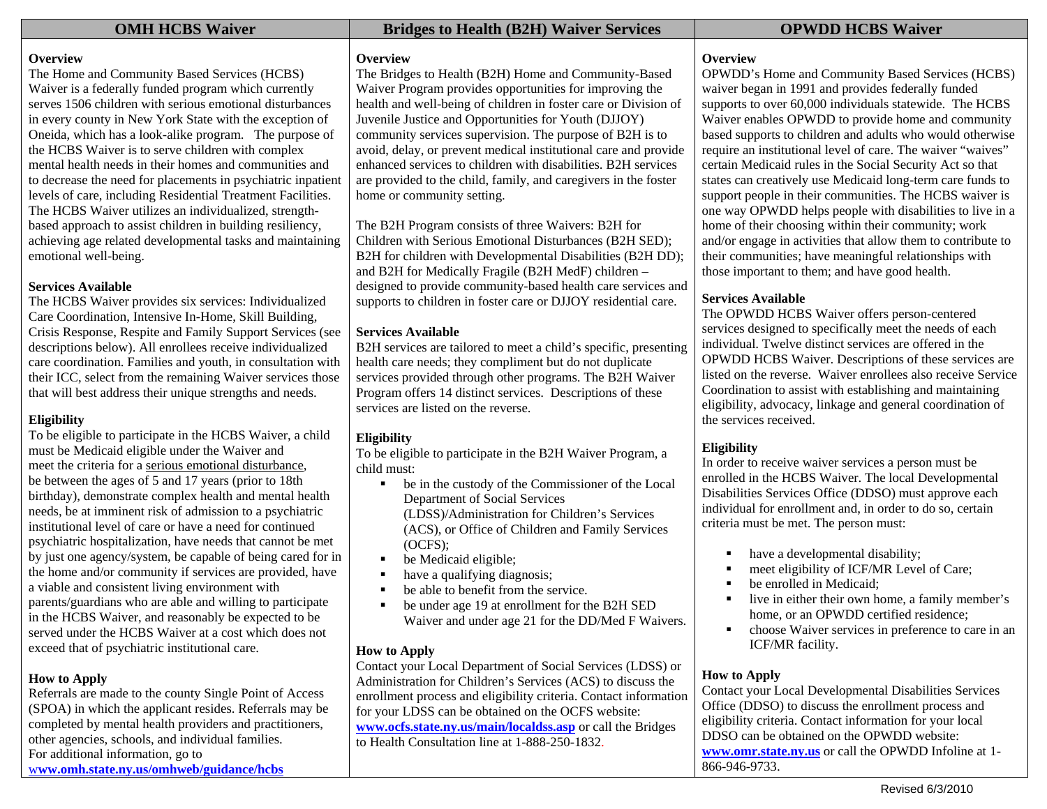### **Overview**

The Home and Community Based Services (HCBS) Waiver is a federally funded program which currently serves 1506 children with serious emotional disturbances in every county in New York State with the exception of Oneida, which has a look-alike program. The purpose of the HCBS Waiver is to serve children with complex mental health needs in their homes and communities and to decrease the need for placements in psychiatric inpatient levels of care, including Residential Treatment Facilities. The HCBS Waiver utilizes an individualized, strengthbased approach to assist children in building resiliency, achieving age related developmental tasks and maintaining emotional well-being.

### **Services Available**

The HCBS Waiver provides six services: Individualized Care Coordination, Intensive In-Home, Skill Building, Crisis Response, Respite and Family Support Services (see descriptions below). All enrollees receive individualized care coordination. Families and youth, in consultation with their ICC, select from the remaining Waiver services those that will best address their unique strengths and needs.

## **Eligibility**

To be eligible to participate in the HCBS Waiver, a child must be Medicaid eligible under the Waiver and meet the criteria for a serious emotional disturbance, be between the ages of 5 and 17 years (prior to 18th birthday), demonstrate complex health and mental health needs, be at imminent risk of admission to a psychiatric institutional level of care or have a need for continued psychiatric hospitalization, have needs that cannot be met by just one agency/system, be capable of being cared for in the home and/or community if services are provided, have a viable and consistent living environment with parents/guardians who are able and willing to participate in the HCBS Waiver, and reasonably be expected to be served under the HCBS Waiver at a cost which does not exceed that of psychiatric institutional care.

## **How to Apply**

Referrals are made to the county Single Point of Access (SPOA) in which the applicant resides. Referrals may be completed by mental health providers and practitioners, other agencies, schools, and individual families. For additional information, go to <sup>w</sup>**ww.omh.state.ny.us/omhweb/guidance/hcbs**

# **OMH HCBS Waiver Services** Bridges to Health (B2H) Waiver Services CPWDD HCBS Waiver

### **Overview**

The Bridges to Health (B2H) Home and Community-Based Waiver Program provides opportunities for improving the health and well-being of children in foster care or Division of Juvenile Justice and Opportunities for Youth (DJJOY) community services supervision. The purpose of B2H is to avoid, delay, or prevent medical institutional care and provide enhanced services to children with disabilities. B2H services are provided to the child, family, and caregivers in the foster home or community setting.

The B2H Program consists of three Waivers: B2H for Children with Serious Emotional Disturbances (B2H SED); B2H for children with Developmental Disabilities (B2H DD); and B2H for Medically Fragile (B2H MedF) children – designed to provide community-based health care services and supports to children in foster care or DJJOY residential care.

# **Services Available**

B2H services are tailored to meet a child's specific, presenting health care needs; they compliment but do not duplicate services provided through other programs. The B2H Waiver Program offers 14 distinct services. Descriptions of these services are listed on the reverse.

# **Eligibility**

To be eligible to participate in the B2H Waiver Program, a child must:

- $\blacksquare$  be in the custody of the Commissioner of the Local Department of Social Services (LDSS)/Administration for Children's Services (ACS), or Office of Children and Family Services (OCFS);
- $\mathbf{u}$  . be Medicaid eligible;
- п have a qualifying diagnosis;
- $\blacksquare$ be able to benefit from the service.
- $\blacksquare$  be under age 19 at enrollment for the B2H SED Waiver and under age 21 for the DD/Med F Waivers.

## **How to Apply**

Contact your Local Department of Social Services (LDSS) or Administration for Children's Services (ACS) to discuss the enrollment process and eligibility criteria. Contact information for your LDSS can be obtained on the OCFS website: **www.ocfs.state.ny.us/main/localdss.asp** or call the Bridges to Health Consultation line at 1-888-250-1832.

## **Overview**

OPWDD's Home and Community Based Services (HCBS) waiver began in 1991 and provides federally funded supports to over 60,000 individuals statewide. The HCBS Waiver enables OPWDD to provide home and community based supports to children and adults who would otherwise require an institutional level of care. The waiver "waives" certain Medicaid rules in the Social Security Act so that states can creatively use Medicaid long-term care funds to support people in their communities. The HCBS waiver is one way OPWDD helps people with disabilities to live in a home of their choosing within their community; work and/or engage in activities that allow them to contribute to their communities; have meaningful relationships with those important to them; and have good health.

# **Services Available**

The OPWDD HCBS Waiver offers person-centered services designed to specifically meet the needs of each individual. Twelve distinct services are offered in the OPWDD HCBS Waiver. Descriptions of these services are listed on the reverse. Waiver enrollees also receive Service Coordination to assist with establishing and maintaining eligibility, advocacy, linkage and general coordination of the services received.

## **Eligibility**

In order to receive waiver services a person must be enrolled in the HCBS Waiver. The local Developmental Disabilities Services Office (DDSO) must approve each individual for enrollment and, in order to do so, certain criteria must be met. The person must:

- have a developmental disability;
- г meet eligibility of ICF/MR Level of Care;
- г be enrolled in Medicaid;
- live in either their own home, a family member's home, or an OPWDD certified residence;
- $\blacksquare$  choose Waiver services in preference to care in an ICF/MR facility.

## **How to Apply**

Contact your Local Developmental Disabilities Services Office (DDSO) to discuss the enrollment process and eligibility criteria. Contact information for your local DDSO can be obtained on the OPWDD website: **www.omr.state.ny.us** or call the OPWDD Infoline at 1- 866-946-9733.